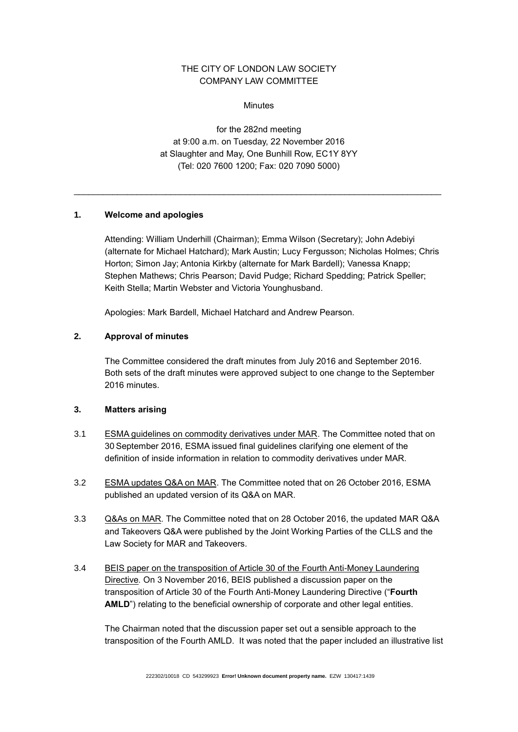# THE CITY OF LONDON LAW SOCIETY COMPANY LAW COMMITTEE

**Minutes** 

for the 282nd meeting at 9:00 a.m. on Tuesday, 22 November 2016 at Slaughter and May, One Bunhill Row, EC1Y 8YY (Tel: 020 7600 1200; Fax: 020 7090 5000)

\_\_\_\_\_\_\_\_\_\_\_\_\_\_\_\_\_\_\_\_\_\_\_\_\_\_\_\_\_\_\_\_\_\_\_\_\_\_\_\_\_\_\_\_\_\_\_\_\_\_\_\_\_\_\_\_\_\_\_\_\_\_\_\_\_\_\_\_\_\_\_\_\_\_\_\_

# **1. Welcome and apologies**

Attending: William Underhill (Chairman); Emma Wilson (Secretary); John Adebiyi (alternate for Michael Hatchard); Mark Austin; Lucy Fergusson; Nicholas Holmes; Chris Horton; Simon Jay; Antonia Kirkby (alternate for Mark Bardell); Vanessa Knapp; Stephen Mathews; Chris Pearson; David Pudge; Richard Spedding; Patrick Speller; Keith Stella; Martin Webster and Victoria Younghusband.

Apologies: Mark Bardell, Michael Hatchard and Andrew Pearson.

# **2. Approval of minutes**

The Committee considered the draft minutes from July 2016 and September 2016. Both sets of the draft minutes were approved subject to one change to the September 2016 minutes.

# **3. Matters arising**

- 3.1 ESMA guidelines on commodity derivatives under MAR. The Committee noted that on 30 September 2016, ESMA issued final guidelines clarifying one element of the definition of inside information in relation to commodity derivatives under MAR.
- 3.2 ESMA updates Q&A on MAR. The Committee noted that on 26 October 2016, ESMA published an updated version of its Q&A on MAR.
- 3.3 Q&As on MAR*.* The Committee noted that on 28 October 2016, the updated MAR Q&A and Takeovers Q&A were published by the Joint Working Parties of the CLLS and the Law Society for MAR and Takeovers.
- 3.4 BEIS paper on the transposition of Article 30 of the Fourth Anti-Money Laundering Directive*.* On 3 November 2016, BEIS published a discussion paper on the transposition of Article 30 of the Fourth Anti-Money Laundering Directive ("**Fourth AMLD**") relating to the beneficial ownership of corporate and other legal entities.

The Chairman noted that the discussion paper set out a sensible approach to the transposition of the Fourth AMLD. It was noted that the paper included an illustrative list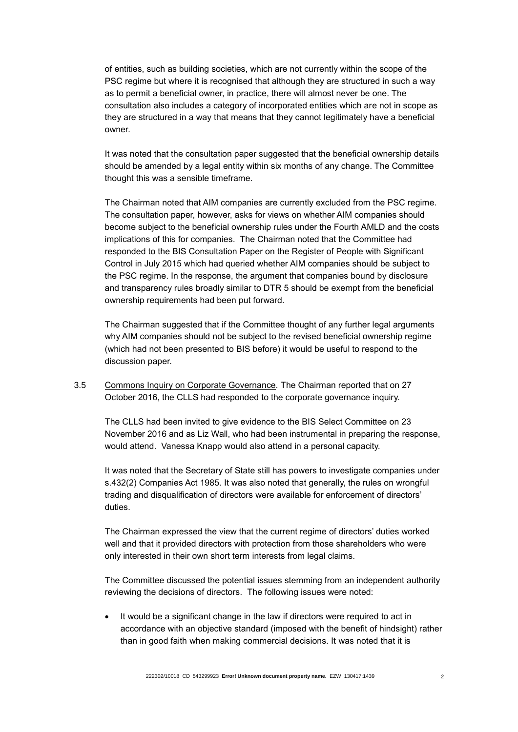of entities, such as building societies, which are not currently within the scope of the PSC regime but where it is recognised that although they are structured in such a way as to permit a beneficial owner, in practice, there will almost never be one. The consultation also includes a category of incorporated entities which are not in scope as they are structured in a way that means that they cannot legitimately have a beneficial owner.

It was noted that the consultation paper suggested that the beneficial ownership details should be amended by a legal entity within six months of any change. The Committee thought this was a sensible timeframe.

The Chairman noted that AIM companies are currently excluded from the PSC regime. The consultation paper, however, asks for views on whether AIM companies should become subject to the beneficial ownership rules under the Fourth AMLD and the costs implications of this for companies. The Chairman noted that the Committee had responded to the BIS Consultation Paper on the Register of People with Significant Control in July 2015 which had queried whether AIM companies should be subject to the PSC regime. In the response, the argument that companies bound by disclosure and transparency rules broadly similar to DTR 5 should be exempt from the beneficial ownership requirements had been put forward.

The Chairman suggested that if the Committee thought of any further legal arguments why AIM companies should not be subject to the revised beneficial ownership regime (which had not been presented to BIS before) it would be useful to respond to the discussion paper.

3.5 Commons Inquiry on Corporate Governance*.* The Chairman reported that on 27 October 2016, the CLLS had responded to the corporate governance inquiry.

The CLLS had been invited to give evidence to the BIS Select Committee on 23 November 2016 and as Liz Wall, who had been instrumental in preparing the response, would attend. Vanessa Knapp would also attend in a personal capacity.

It was noted that the Secretary of State still has powers to investigate companies under s.432(2) Companies Act 1985. It was also noted that generally, the rules on wrongful trading and disqualification of directors were available for enforcement of directors' duties.

The Chairman expressed the view that the current regime of directors' duties worked well and that it provided directors with protection from those shareholders who were only interested in their own short term interests from legal claims.

The Committee discussed the potential issues stemming from an independent authority reviewing the decisions of directors. The following issues were noted:

 It would be a significant change in the law if directors were required to act in accordance with an objective standard (imposed with the benefit of hindsight) rather than in good faith when making commercial decisions. It was noted that it is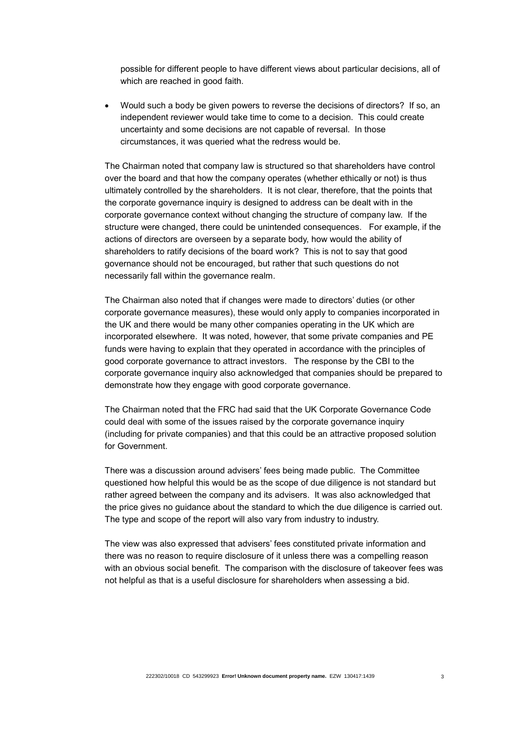possible for different people to have different views about particular decisions, all of which are reached in good faith.

 Would such a body be given powers to reverse the decisions of directors? If so, an independent reviewer would take time to come to a decision. This could create uncertainty and some decisions are not capable of reversal. In those circumstances, it was queried what the redress would be.

The Chairman noted that company law is structured so that shareholders have control over the board and that how the company operates (whether ethically or not) is thus ultimately controlled by the shareholders. It is not clear, therefore, that the points that the corporate governance inquiry is designed to address can be dealt with in the corporate governance context without changing the structure of company law. If the structure were changed, there could be unintended consequences. For example, if the actions of directors are overseen by a separate body, how would the ability of shareholders to ratify decisions of the board work? This is not to say that good governance should not be encouraged, but rather that such questions do not necessarily fall within the governance realm.

The Chairman also noted that if changes were made to directors' duties (or other corporate governance measures), these would only apply to companies incorporated in the UK and there would be many other companies operating in the UK which are incorporated elsewhere. It was noted, however, that some private companies and PE funds were having to explain that they operated in accordance with the principles of good corporate governance to attract investors. The response by the CBI to the corporate governance inquiry also acknowledged that companies should be prepared to demonstrate how they engage with good corporate governance.

The Chairman noted that the FRC had said that the UK Corporate Governance Code could deal with some of the issues raised by the corporate governance inquiry (including for private companies) and that this could be an attractive proposed solution for Government.

There was a discussion around advisers' fees being made public. The Committee questioned how helpful this would be as the scope of due diligence is not standard but rather agreed between the company and its advisers. It was also acknowledged that the price gives no guidance about the standard to which the due diligence is carried out. The type and scope of the report will also vary from industry to industry.

The view was also expressed that advisers' fees constituted private information and there was no reason to require disclosure of it unless there was a compelling reason with an obvious social benefit. The comparison with the disclosure of takeover fees was not helpful as that is a useful disclosure for shareholders when assessing a bid.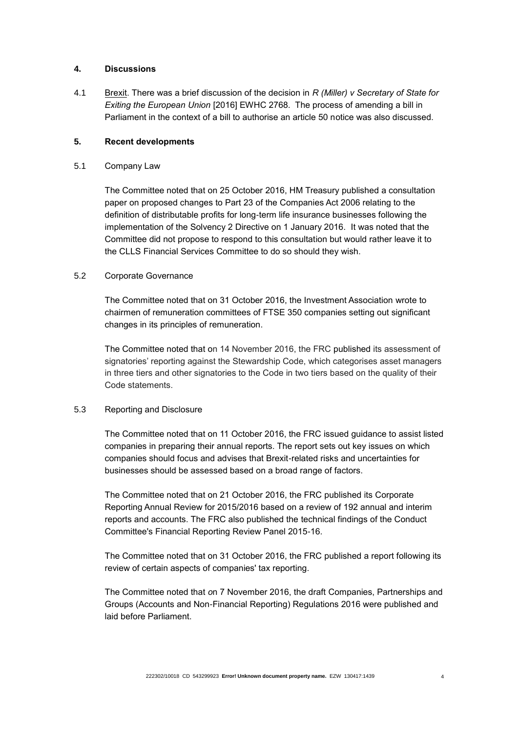## **4. Discussions**

4.1 Brexit. There was a brief discussion of the decision in *R (Miller) v Secretary of State for Exiting the European Union* [2016] EWHC 2768. The process of amending a bill in Parliament in the context of a bill to authorise an article 50 notice was also discussed.

## **5. Recent developments**

5.1 Company Law

The Committee noted that on 25 October 2016, HM Treasury published a consultation paper on proposed changes to Part 23 of the Companies Act 2006 relating to the definition of distributable profits for long-term life insurance businesses following the implementation of the Solvency 2 Directive on 1 January 2016. It was noted that the Committee did not propose to respond to this consultation but would rather leave it to the CLLS Financial Services Committee to do so should they wish.

## 5.2 Corporate Governance

The Committee noted that on 31 October 2016, the Investment Association wrote to chairmen of remuneration committees of FTSE 350 companies setting out significant changes in its principles of remuneration.

The Committee noted that on 14 November 2016, the FRC published its assessment of signatories' reporting against the Stewardship Code, which categorises asset managers in three tiers and other signatories to the Code in two tiers based on the quality of their Code statements.

# 5.3 Reporting and Disclosure

The Committee noted that on 11 October 2016, the FRC issued guidance to assist listed companies in preparing their annual reports. The report sets out key issues on which companies should focus and advises that Brexit-related risks and uncertainties for businesses should be assessed based on a broad range of factors.

The Committee noted that on 21 October 2016, the FRC published its Corporate Reporting Annual Review for 2015/2016 based on a review of 192 annual and interim reports and accounts. The FRC also published the technical findings of the Conduct Committee's Financial Reporting Review Panel 2015-16.

The Committee noted that on 31 October 2016, the FRC published a report following its review of certain aspects of companies' tax reporting.

The Committee noted that *o*n 7 November 2016, the draft Companies, Partnerships and Groups (Accounts and Non-Financial Reporting) Regulations 2016 were published and laid before Parliament.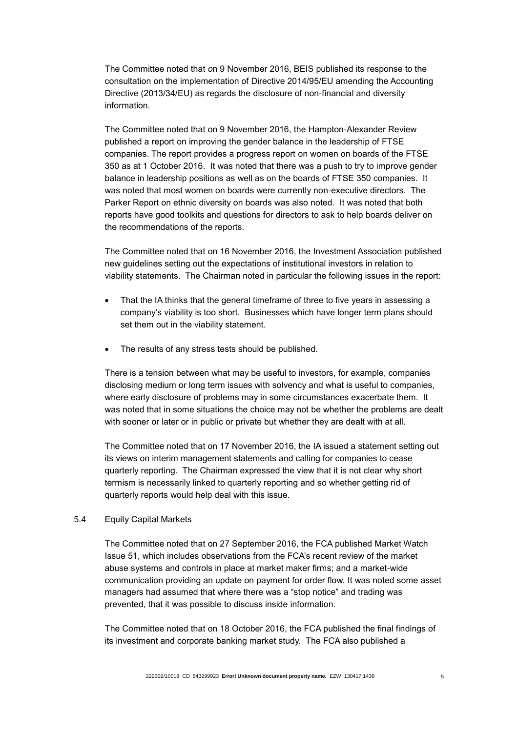The Committee noted that *o*n 9 November 2016, BEIS published its response to the consultation on the implementation of Directive 2014/95/EU amending the Accounting Directive (2013/34/EU) as regards the disclosure of non-financial and diversity information.

The Committee noted that on 9 November 2016, the Hampton-Alexander Review published a report on improving the gender balance in the leadership of FTSE companies. The report provides a progress report on women on boards of the FTSE 350 as at 1 October 2016. It was noted that there was a push to try to improve gender balance in leadership positions as well as on the boards of FTSE 350 companies. It was noted that most women on boards were currently non-executive directors. The Parker Report on ethnic diversity on boards was also noted. It was noted that both reports have good toolkits and questions for directors to ask to help boards deliver on the recommendations of the reports.

The Committee noted that on 16 November 2016, the Investment Association published new guidelines setting out the expectations of institutional investors in relation to viability statements. The Chairman noted in particular the following issues in the report:

- That the IA thinks that the general timeframe of three to five years in assessing a company's viability is too short. Businesses which have longer term plans should set them out in the viability statement.
- The results of any stress tests should be published.

There is a tension between what may be useful to investors, for example, companies disclosing medium or long term issues with solvency and what is useful to companies, where early disclosure of problems may in some circumstances exacerbate them. It was noted that in some situations the choice may not be whether the problems are dealt with sooner or later or in public or private but whether they are dealt with at all.

The Committee noted that on 17 November 2016, the IA issued a statement setting out its views on interim management statements and calling for companies to cease quarterly reporting. The Chairman expressed the view that it is not clear why short termism is necessarily linked to quarterly reporting and so whether getting rid of quarterly reports would help deal with this issue.

#### 5.4 Equity Capital Markets

The Committee noted that on 27 September 2016, the FCA published Market Watch Issue 51, which includes observations from the FCA's recent review of the market abuse systems and controls in place at market maker firms; and a market-wide communication providing an update on payment for order flow. It was noted some asset managers had assumed that where there was a "stop notice" and trading was prevented, that it was possible to discuss inside information.

The Committee noted that on 18 October 2016, the FCA published the final findings of its investment and corporate banking market study. The FCA also published a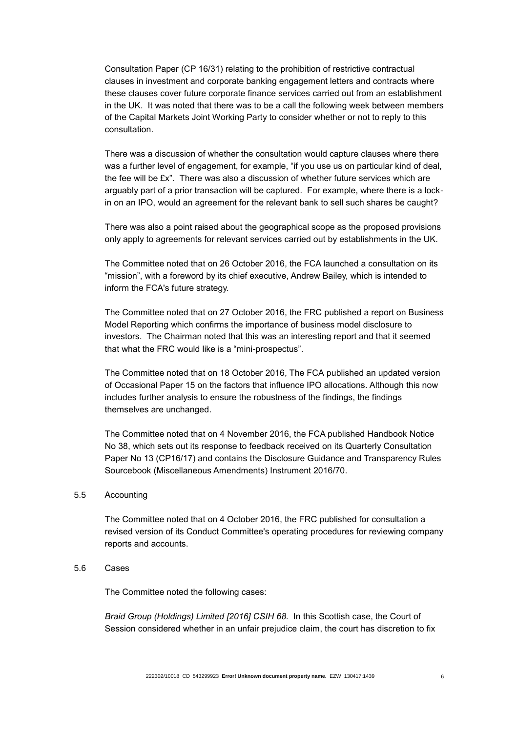Consultation Paper (CP 16/31) relating to the prohibition of restrictive contractual clauses in investment and corporate banking engagement letters and contracts where these clauses cover future corporate finance services carried out from an establishment in the UK. It was noted that there was to be a call the following week between members of the Capital Markets Joint Working Party to consider whether or not to reply to this consultation.

There was a discussion of whether the consultation would capture clauses where there was a further level of engagement, for example, "if you use us on particular kind of deal, the fee will be  $fx$ . There was also a discussion of whether future services which are arguably part of a prior transaction will be captured. For example, where there is a lockin on an IPO, would an agreement for the relevant bank to sell such shares be caught?

There was also a point raised about the geographical scope as the proposed provisions only apply to agreements for relevant services carried out by establishments in the UK.

The Committee noted that on 26 October 2016, the FCA launched a consultation on its "mission", with a foreword by its chief executive, Andrew Bailey, which is intended to inform the FCA's future strategy.

The Committee noted that on 27 October 2016, the FRC published a report on Business Model Reporting which confirms the importance of business model disclosure to investors. The Chairman noted that this was an interesting report and that it seemed that what the FRC would like is a "mini-prospectus".

The Committee noted that on 18 October 2016, The FCA published an updated version of Occasional Paper 15 on the factors that influence IPO allocations. Although this now includes further analysis to ensure the robustness of the findings, the findings themselves are unchanged.

The Committee noted that on 4 November 2016, the FCA published Handbook Notice No 38, which sets out its response to feedback received on its Quarterly Consultation Paper No 13 (CP16/17) and contains the Disclosure Guidance and Transparency Rules Sourcebook (Miscellaneous Amendments) Instrument 2016/70.

#### 5.5 Accounting

The Committee noted that on 4 October 2016, the FRC published for consultation a revised version of its Conduct Committee's operating procedures for reviewing company reports and accounts.

## 5.6 Cases

The Committee noted the following cases:

*Braid Group (Holdings) Limited [2016] CSIH 68.* In this Scottish case, the Court of Session considered whether in an unfair prejudice claim, the court has discretion to fix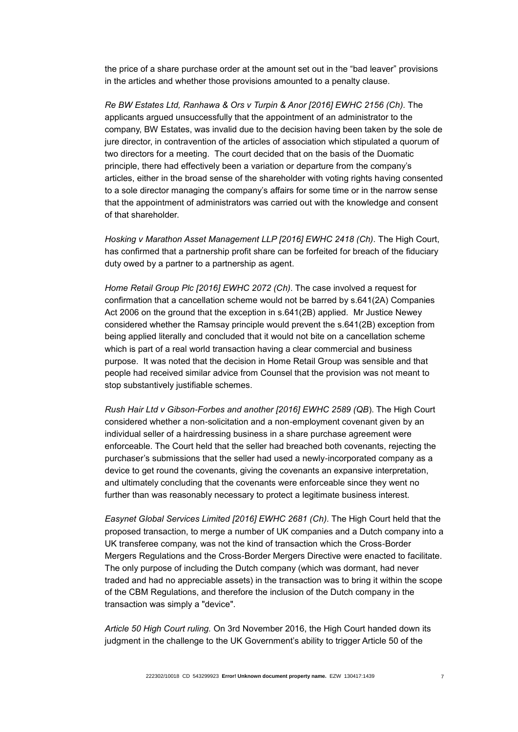the price of a share purchase order at the amount set out in the "bad leaver" provisions in the articles and whether those provisions amounted to a penalty clause.

*Re BW Estates Ltd, Ranhawa & Ors v Turpin & Anor [2016] EWHC 2156 (Ch).* The applicants argued unsuccessfully that the appointment of an administrator to the company, BW Estates, was invalid due to the decision having been taken by the sole de jure director, in contravention of the articles of association which stipulated a quorum of two directors for a meeting. The court decided that on the basis of the Duomatic principle, there had effectively been a variation or departure from the company's articles, either in the broad sense of the shareholder with voting rights having consented to a sole director managing the company's affairs for some time or in the narrow sense that the appointment of administrators was carried out with the knowledge and consent of that shareholder.

*Hosking v Marathon Asset Management LLP [2016] EWHC 2418 (Ch).* The High Court, has confirmed that a partnership profit share can be forfeited for breach of the fiduciary duty owed by a partner to a partnership as agent.

*Home Retail Group Plc [2016] EWHC 2072 (Ch)*. The case involved a request for confirmation that a cancellation scheme would not be barred by s.641(2A) Companies Act 2006 on the ground that the exception in s.641(2B) applied. Mr Justice Newey considered whether the Ramsay principle would prevent the s.641(2B) exception from being applied literally and concluded that it would not bite on a cancellation scheme which is part of a real world transaction having a clear commercial and business purpose. It was noted that the decision in Home Retail Group was sensible and that people had received similar advice from Counsel that the provision was not meant to stop substantively justifiable schemes.

*Rush Hair Ltd v Gibson-Forbes and another [2016] EWHC 2589 (QB*). The High Court considered whether a non-solicitation and a non-employment covenant given by an individual seller of a hairdressing business in a share purchase agreement were enforceable. The Court held that the seller had breached both covenants, rejecting the purchaser's submissions that the seller had used a newly-incorporated company as a device to get round the covenants, giving the covenants an expansive interpretation, and ultimately concluding that the covenants were enforceable since they went no further than was reasonably necessary to protect a legitimate business interest.

*Easynet Global Services Limited [2016] EWHC 2681 (Ch).* The High Court held that the proposed transaction, to merge a number of UK companies and a Dutch company into a UK transferee company, was not the kind of transaction which the Cross-Border Mergers Regulations and the Cross-Border Mergers Directive were enacted to facilitate. The only purpose of including the Dutch company (which was dormant, had never traded and had no appreciable assets) in the transaction was to bring it within the scope of the CBM Regulations, and therefore the inclusion of the Dutch company in the transaction was simply a "device".

*Article 50 High Court ruling.* On 3rd November 2016, the High Court handed down its judgment in the challenge to the UK Government's ability to trigger Article 50 of the